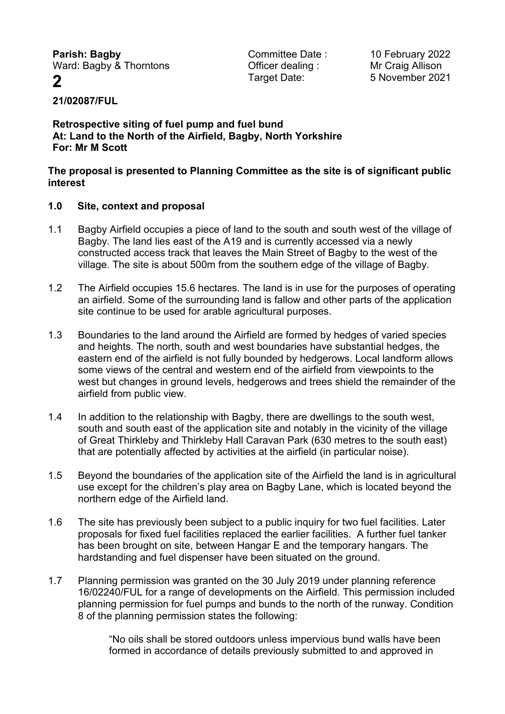**Parish: Bagby Parish: Bagby Committee Date :** 10 February 2022<br>
Ward: Bagby & Thorntons **Committee Date :** 10 February 2022

Ward: Bagby & Thorntons **Container Containg** : Mr Craig Allison

**2** Target Date: 5 November 2021

# **21/02087/FUL**

**Retrospective siting of fuel pump and fuel bund At: Land to the North of the Airfield, Bagby, North Yorkshire For: Mr M Scott**

#### **The proposal is presented to Planning Committee as the site is of significant public interest**

### **1.0 Site, context and proposal**

- 1.1 Bagby Airfield occupies a piece of land to the south and south west of the village of Bagby. The land lies east of the A19 and is currently accessed via a newly constructed access track that leaves the Main Street of Bagby to the west of the village. The site is about 500m from the southern edge of the village of Bagby.
- 1.2 The Airfield occupies 15.6 hectares. The land is in use for the purposes of operating an airfield. Some of the surrounding land is fallow and other parts of the application site continue to be used for arable agricultural purposes.
- 1.3 Boundaries to the land around the Airfield are formed by hedges of varied species and heights. The north, south and west boundaries have substantial hedges, the eastern end of the airfield is not fully bounded by hedgerows. Local landform allows some views of the central and western end of the airfield from viewpoints to the west but changes in ground levels, hedgerows and trees shield the remainder of the airfield from public view.
- 1.4 In addition to the relationship with Bagby, there are dwellings to the south west, south and south east of the application site and notably in the vicinity of the village of Great Thirkleby and Thirkleby Hall Caravan Park (630 metres to the south east) that are potentially affected by activities at the airfield (in particular noise).
- 1.5 Beyond the boundaries of the application site of the Airfield the land is in agricultural use except for the children's play area on Bagby Lane, which is located beyond the northern edge of the Airfield land.
- 1.6 The site has previously been subject to a public inquiry for two fuel facilities. Later proposals for fixed fuel facilities replaced the earlier facilities. A further fuel tanker has been brought on site, between Hangar E and the temporary hangars. The hardstanding and fuel dispenser have been situated on the ground.
- 1.7 Planning permission was granted on the 30 July 2019 under planning reference 16/02240/FUL for a range of developments on the Airfield. This permission included planning permission for fuel pumps and bunds to the north of the runway. Condition 8 of the planning permission states the following:

"No oils shall be stored outdoors unless impervious bund walls have been formed in accordance of details previously submitted to and approved in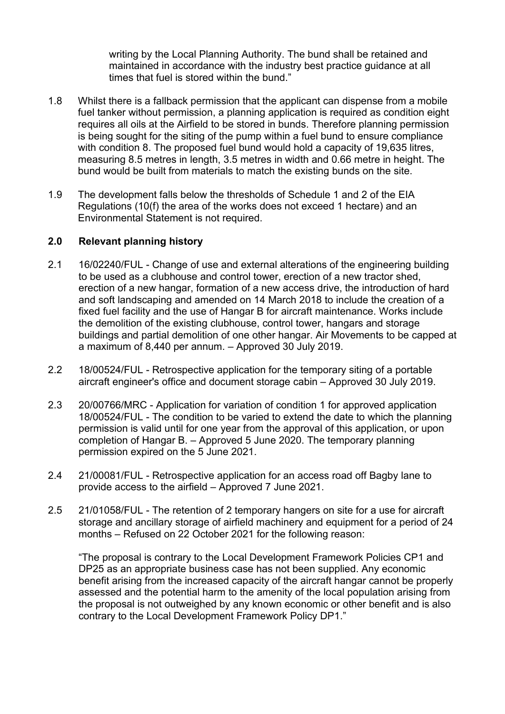writing by the Local Planning Authority. The bund shall be retained and maintained in accordance with the industry best practice guidance at all times that fuel is stored within the bund."

- 1.8 Whilst there is a fallback permission that the applicant can dispense from a mobile fuel tanker without permission, a planning application is required as condition eight requires all oils at the Airfield to be stored in bunds. Therefore planning permission is being sought for the siting of the pump within a fuel bund to ensure compliance with condition 8. The proposed fuel bund would hold a capacity of 19,635 litres, measuring 8.5 metres in length, 3.5 metres in width and 0.66 metre in height. The bund would be built from materials to match the existing bunds on the site.
- 1.9 The development falls below the thresholds of Schedule 1 and 2 of the EIA Regulations (10(f) the area of the works does not exceed 1 hectare) and an Environmental Statement is not required.

### **2.0 Relevant planning history**

- 2.1 16/02240/FUL Change of use and external alterations of the engineering building to be used as a clubhouse and control tower, erection of a new tractor shed, erection of a new hangar, formation of a new access drive, the introduction of hard and soft landscaping and amended on 14 March 2018 to include the creation of a fixed fuel facility and the use of Hangar B for aircraft maintenance. Works include the demolition of the existing clubhouse, control tower, hangars and storage buildings and partial demolition of one other hangar. Air Movements to be capped at a maximum of 8,440 per annum. – Approved 30 July 2019.
- 2.2 18/00524/FUL Retrospective application for the temporary siting of a portable aircraft engineer's office and document storage cabin – Approved 30 July 2019.
- 2.3 20/00766/MRC Application for variation of condition 1 for approved application 18/00524/FUL - The condition to be varied to extend the date to which the planning permission is valid until for one year from the approval of this application, or upon completion of Hangar B. – Approved 5 June 2020. The temporary planning permission expired on the 5 June 2021.
- 2.4 21/00081/FUL Retrospective application for an access road off Bagby lane to provide access to the airfield – Approved 7 June 2021.
- 2.5 21/01058/FUL The retention of 2 temporary hangers on site for a use for aircraft storage and ancillary storage of airfield machinery and equipment for a period of 24 months – Refused on 22 October 2021 for the following reason:

"The proposal is contrary to the Local Development Framework Policies CP1 and DP25 as an appropriate business case has not been supplied. Any economic benefit arising from the increased capacity of the aircraft hangar cannot be properly assessed and the potential harm to the amenity of the local population arising from the proposal is not outweighed by any known economic or other benefit and is also contrary to the Local Development Framework Policy DP1."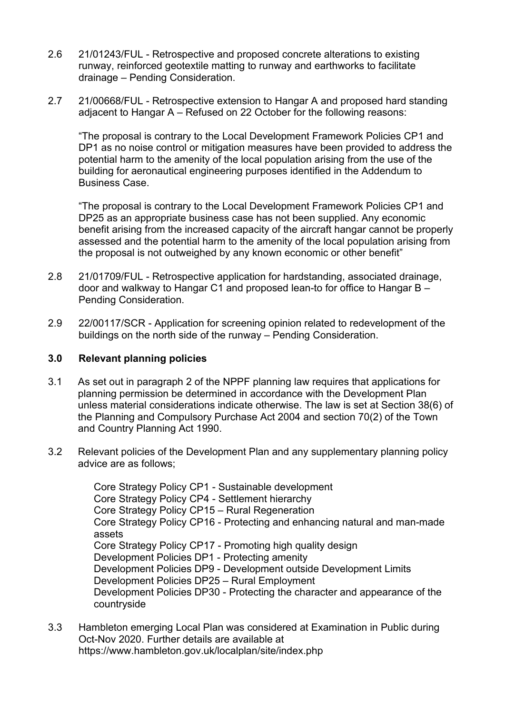- 2.6 21/01243/FUL Retrospective and proposed concrete alterations to existing runway, reinforced geotextile matting to runway and earthworks to facilitate drainage – Pending Consideration.
- 2.7 21/00668/FUL Retrospective extension to Hangar A and proposed hard standing adjacent to Hangar A – Refused on 22 October for the following reasons:

"The proposal is contrary to the Local Development Framework Policies CP1 and DP1 as no noise control or mitigation measures have been provided to address the potential harm to the amenity of the local population arising from the use of the building for aeronautical engineering purposes identified in the Addendum to Business Case.

"The proposal is contrary to the Local Development Framework Policies CP1 and DP25 as an appropriate business case has not been supplied. Any economic benefit arising from the increased capacity of the aircraft hangar cannot be properly assessed and the potential harm to the amenity of the local population arising from the proposal is not outweighed by any known economic or other benefit"

- 2.8 21/01709/FUL Retrospective application for hardstanding, associated drainage, door and walkway to Hangar C1 and proposed lean-to for office to Hangar B – Pending Consideration.
- 2.9 22/00117/SCR Application for screening opinion related to redevelopment of the buildings on the north side of the runway – Pending Consideration.

### **3.0 Relevant planning policies**

- 3.1 As set out in paragraph 2 of the NPPF planning law requires that applications for planning permission be determined in accordance with the Development Plan unless material considerations indicate otherwise. The law is set at Section 38(6) of the Planning and Compulsory Purchase Act 2004 and section 70(2) of the Town and Country Planning Act 1990.
- 3.2 Relevant policies of the Development Plan and any supplementary planning policy advice are as follows;

Core Strategy Policy CP1 - Sustainable development Core Strategy Policy CP4 - Settlement hierarchy Core Strategy Policy CP15 – Rural Regeneration Core Strategy Policy CP16 - Protecting and enhancing natural and man-made assets Core Strategy Policy CP17 - Promoting high quality design Development Policies DP1 - Protecting amenity Development Policies DP9 - Development outside Development Limits Development Policies DP25 – Rural Employment Development Policies DP30 - Protecting the character and appearance of the countryside

3.3 Hambleton emerging Local Plan was considered at Examination in Public during Oct-Nov 2020. Further details are available at https://www.hambleton.gov.uk/localplan/site/index.php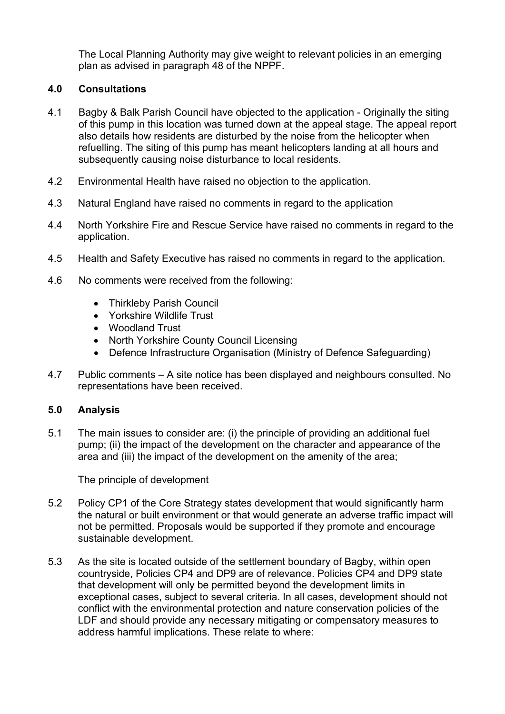The Local Planning Authority may give weight to relevant policies in an emerging plan as advised in paragraph 48 of the NPPF.

# **4.0 Consultations**

- 4.1 Bagby & Balk Parish Council have objected to the application Originally the siting of this pump in this location was turned down at the appeal stage. The appeal report also details how residents are disturbed by the noise from the helicopter when refuelling. The siting of this pump has meant helicopters landing at all hours and subsequently causing noise disturbance to local residents.
- 4.2 Environmental Health have raised no objection to the application.
- 4.3 Natural England have raised no comments in regard to the application
- 4.4 North Yorkshire Fire and Rescue Service have raised no comments in regard to the application.
- 4.5 Health and Safety Executive has raised no comments in regard to the application.
- 4.6 No comments were received from the following:
	- Thirkleby Parish Council
	- Yorkshire Wildlife Trust
	- Woodland Trust
	- North Yorkshire County Council Licensing
	- Defence Infrastructure Organisation (Ministry of Defence Safeguarding)
- 4.7 Public comments A site notice has been displayed and neighbours consulted. No representations have been received.

### **5.0 Analysis**

5.1 The main issues to consider are: (i) the principle of providing an additional fuel pump; (ii) the impact of the development on the character and appearance of the area and (iii) the impact of the development on the amenity of the area;

The principle of development

- 5.2 Policy CP1 of the Core Strategy states development that would significantly harm the natural or built environment or that would generate an adverse traffic impact will not be permitted. Proposals would be supported if they promote and encourage sustainable development.
- 5.3 As the site is located outside of the settlement boundary of Bagby, within open countryside, Policies CP4 and DP9 are of relevance. Policies CP4 and DP9 state that development will only be permitted beyond the development limits in exceptional cases, subject to several criteria. In all cases, development should not conflict with the environmental protection and nature conservation policies of the LDF and should provide any necessary mitigating or compensatory measures to address harmful implications. These relate to where: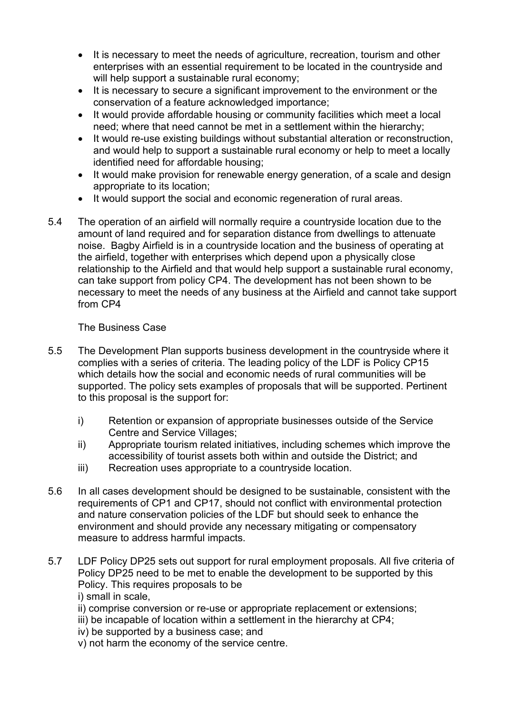- It is necessary to meet the needs of agriculture, recreation, tourism and other enterprises with an essential requirement to be located in the countryside and will help support a sustainable rural economy;
- It is necessary to secure a significant improvement to the environment or the conservation of a feature acknowledged importance;
- It would provide affordable housing or community facilities which meet a local need; where that need cannot be met in a settlement within the hierarchy;
- It would re-use existing buildings without substantial alteration or reconstruction, and would help to support a sustainable rural economy or help to meet a locally identified need for affordable housing;
- It would make provision for renewable energy generation, of a scale and design appropriate to its location;
- It would support the social and economic regeneration of rural areas.
- 5.4 The operation of an airfield will normally require a countryside location due to the amount of land required and for separation distance from dwellings to attenuate noise. Bagby Airfield is in a countryside location and the business of operating at the airfield, together with enterprises which depend upon a physically close relationship to the Airfield and that would help support a sustainable rural economy, can take support from policy CP4. The development has not been shown to be necessary to meet the needs of any business at the Airfield and cannot take support from CP4

### The Business Case

- 5.5 The Development Plan supports business development in the countryside where it complies with a series of criteria. The leading policy of the LDF is Policy CP15 which details how the social and economic needs of rural communities will be supported. The policy sets examples of proposals that will be supported. Pertinent to this proposal is the support for:
	- i) Retention or expansion of appropriate businesses outside of the Service Centre and Service Villages;
	- ii) Appropriate tourism related initiatives, including schemes which improve the accessibility of tourist assets both within and outside the District; and
	- iii) Recreation uses appropriate to a countryside location.
- 5.6 In all cases development should be designed to be sustainable, consistent with the requirements of CP1 and CP17, should not conflict with environmental protection and nature conservation policies of the LDF but should seek to enhance the environment and should provide any necessary mitigating or compensatory measure to address harmful impacts.
- 5.7 LDF Policy DP25 sets out support for rural employment proposals. All five criteria of Policy DP25 need to be met to enable the development to be supported by this Policy. This requires proposals to be i) small in scale,
	- ii) comprise conversion or re-use or appropriate replacement or extensions;
	- iii) be incapable of location within a settlement in the hierarchy at CP4;
	- iv) be supported by a business case; and
	- v) not harm the economy of the service centre.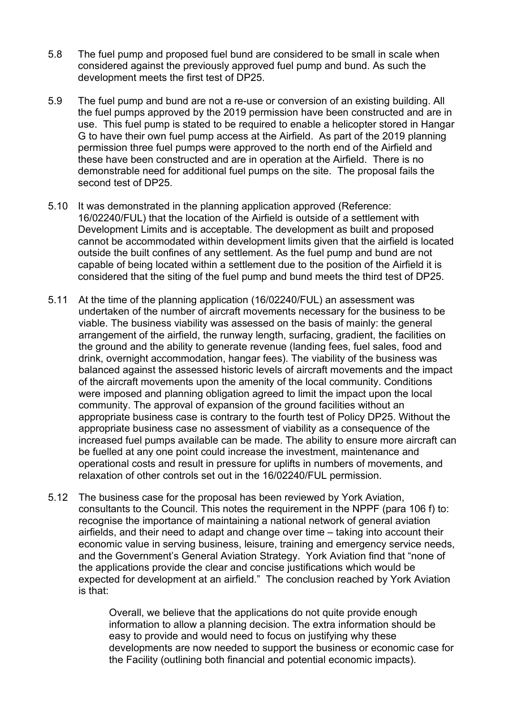- 5.8 The fuel pump and proposed fuel bund are considered to be small in scale when considered against the previously approved fuel pump and bund. As such the development meets the first test of DP25.
- 5.9 The fuel pump and bund are not a re-use or conversion of an existing building. All the fuel pumps approved by the 2019 permission have been constructed and are in use. This fuel pump is stated to be required to enable a helicopter stored in Hangar G to have their own fuel pump access at the Airfield. As part of the 2019 planning permission three fuel pumps were approved to the north end of the Airfield and these have been constructed and are in operation at the Airfield. There is no demonstrable need for additional fuel pumps on the site. The proposal fails the second test of DP25.
- 5.10 It was demonstrated in the planning application approved (Reference: 16/02240/FUL) that the location of the Airfield is outside of a settlement with Development Limits and is acceptable. The development as built and proposed cannot be accommodated within development limits given that the airfield is located outside the built confines of any settlement. As the fuel pump and bund are not capable of being located within a settlement due to the position of the Airfield it is considered that the siting of the fuel pump and bund meets the third test of DP25.
- 5.11 At the time of the planning application (16/02240/FUL) an assessment was undertaken of the number of aircraft movements necessary for the business to be viable. The business viability was assessed on the basis of mainly: the general arrangement of the airfield, the runway length, surfacing, gradient, the facilities on the ground and the ability to generate revenue (landing fees, fuel sales, food and drink, overnight accommodation, hangar fees). The viability of the business was balanced against the assessed historic levels of aircraft movements and the impact of the aircraft movements upon the amenity of the local community. Conditions were imposed and planning obligation agreed to limit the impact upon the local community. The approval of expansion of the ground facilities without an appropriate business case is contrary to the fourth test of Policy DP25. Without the appropriate business case no assessment of viability as a consequence of the increased fuel pumps available can be made. The ability to ensure more aircraft can be fuelled at any one point could increase the investment, maintenance and operational costs and result in pressure for uplifts in numbers of movements, and relaxation of other controls set out in the 16/02240/FUL permission.
- 5.12 The business case for the proposal has been reviewed by York Aviation, consultants to the Council. This notes the requirement in the NPPF (para 106 f) to: recognise the importance of maintaining a national network of general aviation airfields, and their need to adapt and change over time – taking into account their economic value in serving business, leisure, training and emergency service needs, and the Government's General Aviation Strategy. York Aviation find that "none of the applications provide the clear and concise justifications which would be expected for development at an airfield." The conclusion reached by York Aviation is that:

Overall, we believe that the applications do not quite provide enough information to allow a planning decision. The extra information should be easy to provide and would need to focus on justifying why these developments are now needed to support the business or economic case for the Facility (outlining both financial and potential economic impacts).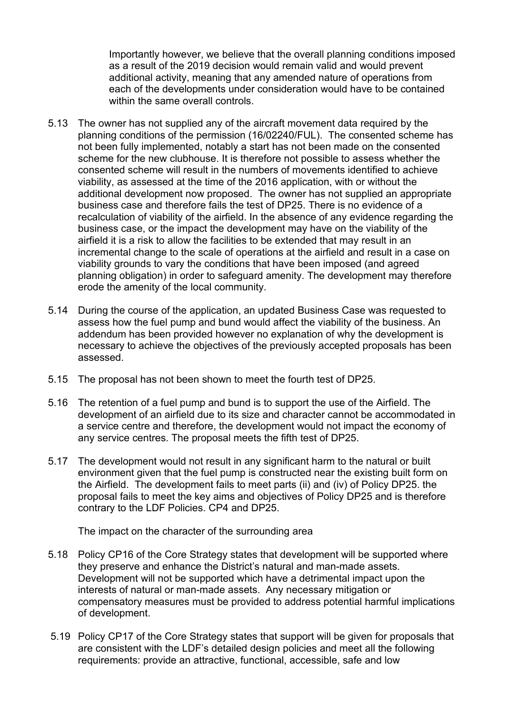Importantly however, we believe that the overall planning conditions imposed as a result of the 2019 decision would remain valid and would prevent additional activity, meaning that any amended nature of operations from each of the developments under consideration would have to be contained within the same overall controls.

- 5.13 The owner has not supplied any of the aircraft movement data required by the planning conditions of the permission (16/02240/FUL). The consented scheme has not been fully implemented, notably a start has not been made on the consented scheme for the new clubhouse. It is therefore not possible to assess whether the consented scheme will result in the numbers of movements identified to achieve viability, as assessed at the time of the 2016 application, with or without the additional development now proposed. The owner has not supplied an appropriate business case and therefore fails the test of DP25. There is no evidence of a recalculation of viability of the airfield. In the absence of any evidence regarding the business case, or the impact the development may have on the viability of the airfield it is a risk to allow the facilities to be extended that may result in an incremental change to the scale of operations at the airfield and result in a case on viability grounds to vary the conditions that have been imposed (and agreed planning obligation) in order to safeguard amenity. The development may therefore erode the amenity of the local community.
- 5.14 During the course of the application, an updated Business Case was requested to assess how the fuel pump and bund would affect the viability of the business. An addendum has been provided however no explanation of why the development is necessary to achieve the objectives of the previously accepted proposals has been assessed.
- 5.15 The proposal has not been shown to meet the fourth test of DP25.
- 5.16 The retention of a fuel pump and bund is to support the use of the Airfield. The development of an airfield due to its size and character cannot be accommodated in a service centre and therefore, the development would not impact the economy of any service centres. The proposal meets the fifth test of DP25.
- 5.17 The development would not result in any significant harm to the natural or built environment given that the fuel pump is constructed near the existing built form on the Airfield. The development fails to meet parts (ii) and (iv) of Policy DP25. the proposal fails to meet the key aims and objectives of Policy DP25 and is therefore contrary to the LDF Policies. CP4 and DP25.

The impact on the character of the surrounding area

- 5.18 Policy CP16 of the Core Strategy states that development will be supported where they preserve and enhance the District's natural and man-made assets. Development will not be supported which have a detrimental impact upon the interests of natural or man-made assets. Any necessary mitigation or compensatory measures must be provided to address potential harmful implications of development.
- 5.19 Policy CP17 of the Core Strategy states that support will be given for proposals that are consistent with the LDF's detailed design policies and meet all the following requirements: provide an attractive, functional, accessible, safe and low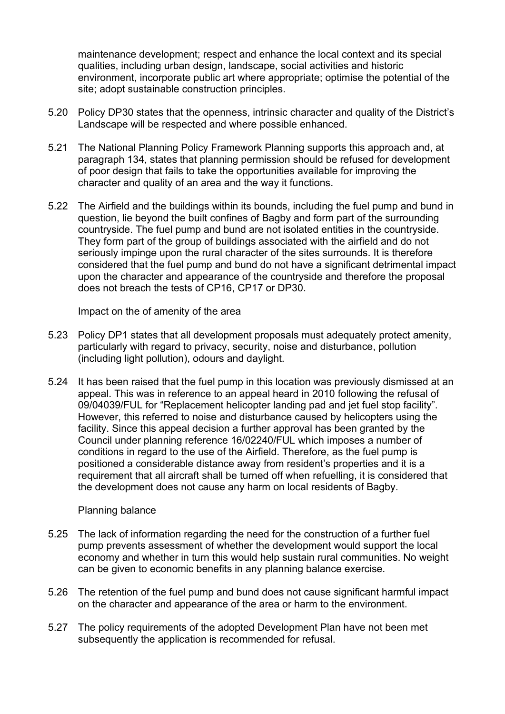maintenance development; respect and enhance the local context and its special qualities, including urban design, landscape, social activities and historic environment, incorporate public art where appropriate; optimise the potential of the site; adopt sustainable construction principles.

- 5.20 Policy DP30 states that the openness, intrinsic character and quality of the District's Landscape will be respected and where possible enhanced.
- 5.21 The National Planning Policy Framework Planning supports this approach and, at paragraph 134, states that planning permission should be refused for development of poor design that fails to take the opportunities available for improving the character and quality of an area and the way it functions.
- 5.22 The Airfield and the buildings within its bounds, including the fuel pump and bund in question, lie beyond the built confines of Bagby and form part of the surrounding countryside. The fuel pump and bund are not isolated entities in the countryside. They form part of the group of buildings associated with the airfield and do not seriously impinge upon the rural character of the sites surrounds. It is therefore considered that the fuel pump and bund do not have a significant detrimental impact upon the character and appearance of the countryside and therefore the proposal does not breach the tests of CP16, CP17 or DP30.

Impact on the of amenity of the area

- 5.23 Policy DP1 states that all development proposals must adequately protect amenity, particularly with regard to privacy, security, noise and disturbance, pollution (including light pollution), odours and daylight.
- 5.24 It has been raised that the fuel pump in this location was previously dismissed at an appeal. This was in reference to an appeal heard in 2010 following the refusal of 09/04039/FUL for "Replacement helicopter landing pad and jet fuel stop facility". However, this referred to noise and disturbance caused by helicopters using the facility. Since this appeal decision a further approval has been granted by the Council under planning reference 16/02240/FUL which imposes a number of conditions in regard to the use of the Airfield. Therefore, as the fuel pump is positioned a considerable distance away from resident's properties and it is a requirement that all aircraft shall be turned off when refuelling, it is considered that the development does not cause any harm on local residents of Bagby.

### Planning balance

- 5.25 The lack of information regarding the need for the construction of a further fuel pump prevents assessment of whether the development would support the local economy and whether in turn this would help sustain rural communities. No weight can be given to economic benefits in any planning balance exercise.
- 5.26 The retention of the fuel pump and bund does not cause significant harmful impact on the character and appearance of the area or harm to the environment.
- 5.27 The policy requirements of the adopted Development Plan have not been met subsequently the application is recommended for refusal.